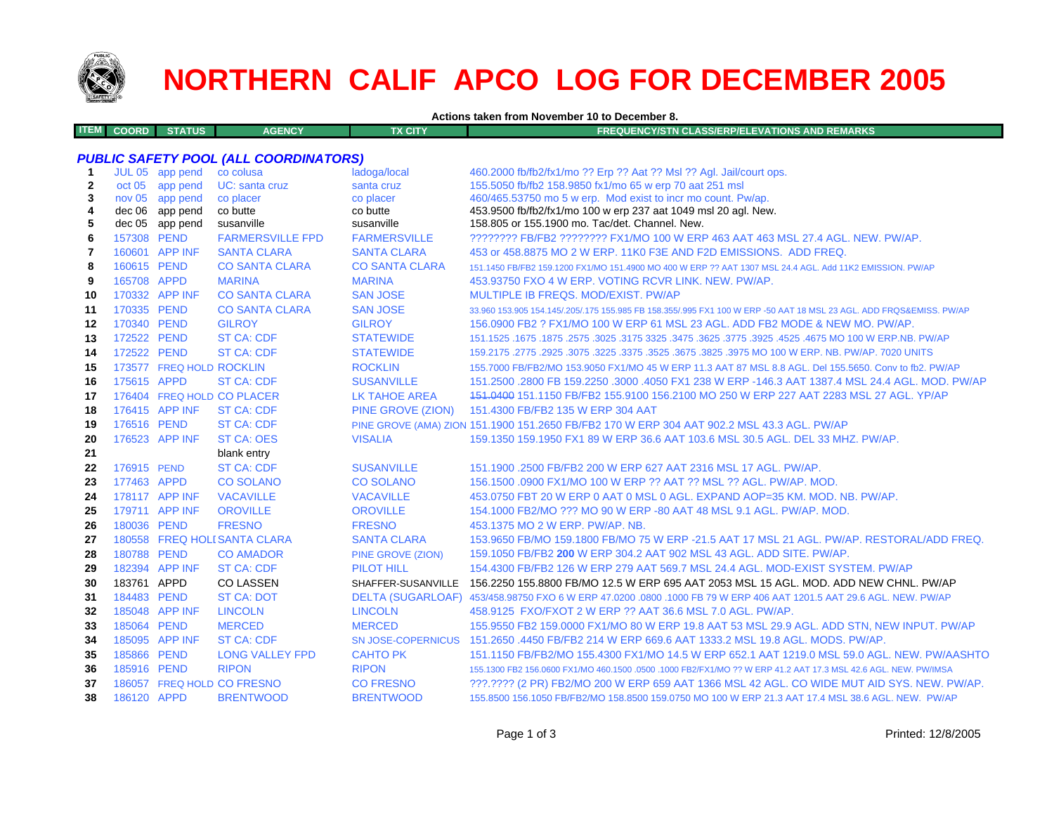

# **NORTHERN CALIF APCO LOG FOR DECEMBER 2005**

**Actions taken from November 10 to December 8.**

| ITEM I<br><b>COORD</b> | <b>STATUS</b> | <b>AGENCY</b> | TX CITY' | REQUENCY/STN CLASS/ERP/ELEVATIONS AND REMARKS \ |
|------------------------|---------------|---------------|----------|-------------------------------------------------|
|                        |               |               |          |                                                 |

# *PUBLIC SAFETY POOL (ALL COORDINATORS)*

| $\mathbf 1$  |             | JUL 05 app pend          | co colusa                    | ladoga/local              | 460.2000 fb/fb2/fx1/mo ?? Erp ?? Aat ?? Msl ?? Agl. Jail/court ops.                                                 |
|--------------|-------------|--------------------------|------------------------------|---------------------------|---------------------------------------------------------------------------------------------------------------------|
| $\mathbf{2}$ |             | oct 05 app pend          | UC: santa cruz               | santa cruz                | 155.5050 fb/fb2 158.9850 fx1/mo 65 w erp 70 aat 251 msl                                                             |
| 3            |             | nov 05 app pend          | co placer                    | co placer                 | 460/465.53750 mo 5 w erp. Mod exist to incr mo count. Pw/ap.                                                        |
| 4            |             | dec 06 app pend          | co butte                     | co butte                  | 453.9500 fb/fb2/fx1/mo 100 w erp 237 aat 1049 msl 20 agl. New.                                                      |
| 5            |             | dec 05 app pend          | susanville                   | susanville                | 158,805 or 155,1900 mo. Tac/det, Channel, New.                                                                      |
| 6            | 157308 PEND |                          | <b>FARMERSVILLE FPD</b>      | <b>FARMERSVILLE</b>       | ???????? FB/FB2 ???????? FX1/MO 100 W ERP 463 AAT 463 MSL 27.4 AGL, NEW, PW/AP,                                     |
| 7            |             | 160601 APP INF           | <b>SANTA CLARA</b>           | <b>SANTA CLARA</b>        | 453 or 458,8875 MO 2 W ERP, 11K0 F3E AND F2D EMISSIONS. ADD FREQ.                                                   |
| 8            | 160615 PEND |                          | <b>CO SANTA CLARA</b>        | <b>CO SANTA CLARA</b>     | 151.1450 FB/FB2 159.1200 FX1/MO 151.4900 MO 400 W ERP ?? AAT 1307 MSL 24.4 AGL. Add 11K2 EMISSION. PW/AP            |
| 9            | 165708 APPD |                          | <b>MARINA</b>                | <b>MARINA</b>             | 453.93750 FXO 4 W ERP. VOTING RCVR LINK. NEW. PW/AP.                                                                |
| 10           |             | 170332 APP INF           | <b>CO SANTA CLARA</b>        | <b>SAN JOSE</b>           | MULTIPLE IB FREQS, MOD/EXIST, PW/AP                                                                                 |
| 11           | 170335 PEND |                          | <b>CO SANTA CLARA</b>        | <b>SAN JOSE</b>           | 33.960 153.905 154.145/.205/.175 155.985 FB 158.355/.995 FX1 100 W ERP -50 AAT 18 MSL 23 AGL. ADD FRQS&EMISS. PW/AP |
| 12           | 170340 PEND |                          | <b>GILROY</b>                | <b>GILROY</b>             | 156.0900 FB2 ? FX1/MO 100 W ERP 61 MSL 23 AGL. ADD FB2 MODE & NEW MO. PW/AP.                                        |
| 13           | 172522 PEND |                          | <b>ST CA: CDF</b>            | <b>STATEWIDE</b>          | 1675.1675.257.1675 NO 100 W ERP.NB. PW/AP 3325.3475.3625.3475 3325.3475 151.1525.267.1675 1675.1675                 |
| 14           | 172522 PEND |                          | <b>ST CA: CDF</b>            | <b>STATEWIDE</b>          | 159.2175 .2775 .2925 .3075 .3225 .3525 .3625 .3675 .3825 .3975 MO 100 W ERP. NB. PW/AP. 7020 UNITS                  |
| 15           |             | 173577 FREQ HOLD ROCKLIN |                              | <b>ROCKLIN</b>            | 155,7000 FB/FB2/MO 153,9050 FX1/MO 45 W ERP 11.3 AAT 87 MSL 8.8 AGL, Del 155,5650, Conv to fb2, PW/AP               |
| 16           | 175615 APPD |                          | <b>ST CA: CDF</b>            | <b>SUSANVILLE</b>         | 151.2500 .2800 FB 159.2250 .3000 .4050 FX1 238 W ERP -146.3 AAT 1387.4 MSL 24.4 AGL, MOD, PW/AP                     |
| 17           |             |                          | 176404 FREQ HOLD CO PLACER   | <b>LK TAHOE AREA</b>      | 151,0400 151,1150 FB/FB2 155,9100 156,2100 MO 250 W ERP 227 AAT 2283 MSL 27 AGL, YP/AP                              |
| 18           |             | 176415 APP INF           | <b>ST CA: CDF</b>            | PINE GROVE (ZION)         | 151.4300 FB/FB2 135 W ERP 304 AAT                                                                                   |
| 19           | 176516 PEND |                          | ST CA: CDF                   |                           | PINE GROVE (AMA) ZION 151.1900 151.2650 FB/FB2 170 W ERP 304 AAT 902.2 MSL 43.3 AGL. PW/AP                          |
| 20           |             | 176523 APP INF           | <b>ST CA: OES</b>            | <b>VISALIA</b>            | 159.1350 159.1950 FX1 89 W ERP 36.6 AAT 103.6 MSL 30.5 AGL. DEL 33 MHZ. PW/AP.                                      |
| 21           |             |                          | blank entry                  |                           |                                                                                                                     |
| 22           | 176915 PEND |                          | <b>ST CA: CDF</b>            | <b>SUSANVILLE</b>         | 151.1900 .2500 FB/FB2 200 W ERP 627 AAT 2316 MSL 17 AGL, PW/AP.                                                     |
| 23           | 177463 APPD |                          | <b>CO SOLANO</b>             | <b>CO SOLANO</b>          | 156.1500,0900 FX1/MO 100 W ERP ?? AAT ?? MSL ?? AGL, PW/AP, MOD.                                                    |
| 24           |             | 178117 APP INF           | <b>VACAVILLE</b>             | <b>VACAVILLE</b>          | 453.0750 FBT 20 W ERP 0 AAT 0 MSL 0 AGL. EXPAND AOP=35 KM. MOD. NB. PW/AP.                                          |
| 25           |             | 179711 APP INF           | <b>OROVILLE</b>              | <b>OROVILLE</b>           | 154.1000 FB2/MO ??? MO 90 W ERP -80 AAT 48 MSL 9.1 AGL. PW/AP. MOD.                                                 |
| 26           | 180036 PEND |                          | <b>FRESNO</b>                | <b>FRESNO</b>             | 453.1375 MO 2 W ERP. PW/AP. NB.                                                                                     |
| 27           |             |                          | 180558 FREQ HOLI SANTA CLARA | <b>SANTA CLARA</b>        | 153.9650 FB/MO 159.1800 FB/MO 75 W ERP -21.5 AAT 17 MSL 21 AGL. PW/AP. RESTORAL/ADD FREQ.                           |
| 28           | 180788 PEND |                          | <b>CO AMADOR</b>             | PINE GROVE (ZION)         | 159.1050 FB/FB2 200 W ERP 304.2 AAT 902 MSL 43 AGL, ADD SITE, PW/AP.                                                |
| 29           |             | 182394 APP INF           | <b>ST CA: CDF</b>            | <b>PILOT HILL</b>         | 154,4300 FB/FB2 126 W ERP 279 AAT 569.7 MSL 24.4 AGL, MOD-EXIST SYSTEM, PW/AP                                       |
| 30           | 183761 APPD |                          | <b>CO LASSEN</b>             | SHAFFER-SUSANVILLE        | 156.2250 155.8800 FB/MO 12.5 W ERP 695 AAT 2053 MSL 15 AGL. MOD. ADD NEW CHNL. PW/AP                                |
| 31           | 184483 PEND |                          | <b>ST CA: DOT</b>            |                           | DELTA (SUGARLOAF) 453/458.98750 FXO 6 W ERP 47.0200 .0800 .1000 FB 79 W ERP 406 AAT 1201.5 AAT 29.6 AGL. NEW. PW/AP |
| 32           |             | 185048 APP INF           | <b>LINCOLN</b>               | <b>LINCOLN</b>            | 458.9125 FXO/FXOT 2 W ERP ?? AAT 36.6 MSL 7.0 AGL. PW/AP.                                                           |
| 33           | 185064 PEND |                          | <b>MERCED</b>                | <b>MERCED</b>             | 155.9550 FB2 159.0000 FX1/MO 80 W ERP 19.8 AAT 53 MSL 29.9 AGL. ADD STN, NEW INPUT. PW/AP                           |
| 34           |             | 185095 APP INF           | <b>ST CA: CDF</b>            | <b>SN JOSE-COPERNICUS</b> | 151.2650 .4450 FB/FB2 214 W ERP 669.6 AAT 1333.2 MSL 19.8 AGL. MODS, PW/AP.                                         |
| 35           | 185866 PEND |                          | <b>LONG VALLEY FPD</b>       | <b>CAHTO PK</b>           | 151.1150 FB/FB2/MO 155.4300 FX1/MO 14.5 W ERP 652.1 AAT 1219.0 MSL 59.0 AGL. NEW. PW/AASHTO                         |
| 36           | 185916 PEND |                          | <b>RIPON</b>                 | <b>RIPON</b>              | 155.1300 FB2 156.0600 FX1/MO 460.1500 .0500 .1000 FB2/FX1/MO ?? W ERP 41.2 AAT 17.3 MSL 42.6 AGL. NEW. PW/IMSA      |
| 37           |             |                          | 186057 FREQ HOLD CO FRESNO   | <b>CO FRESNO</b>          | ???.???? (2 PR) FB2/MO 200 W ERP 659 AAT 1366 MSL 42 AGL. CO WIDE MUT AID SYS. NEW. PW/AP.                          |
| 38           | 186120 APPD |                          | <b>BRENTWOOD</b>             | <b>BRENTWOOD</b>          | 155.8500 156.1050 FB/FB2/MO 158.8500 159.0750 MO 100 W ERP 21.3 AAT 17.4 MSL 38.6 AGL. NEW. PW/AP                   |
|              |             |                          |                              |                           |                                                                                                                     |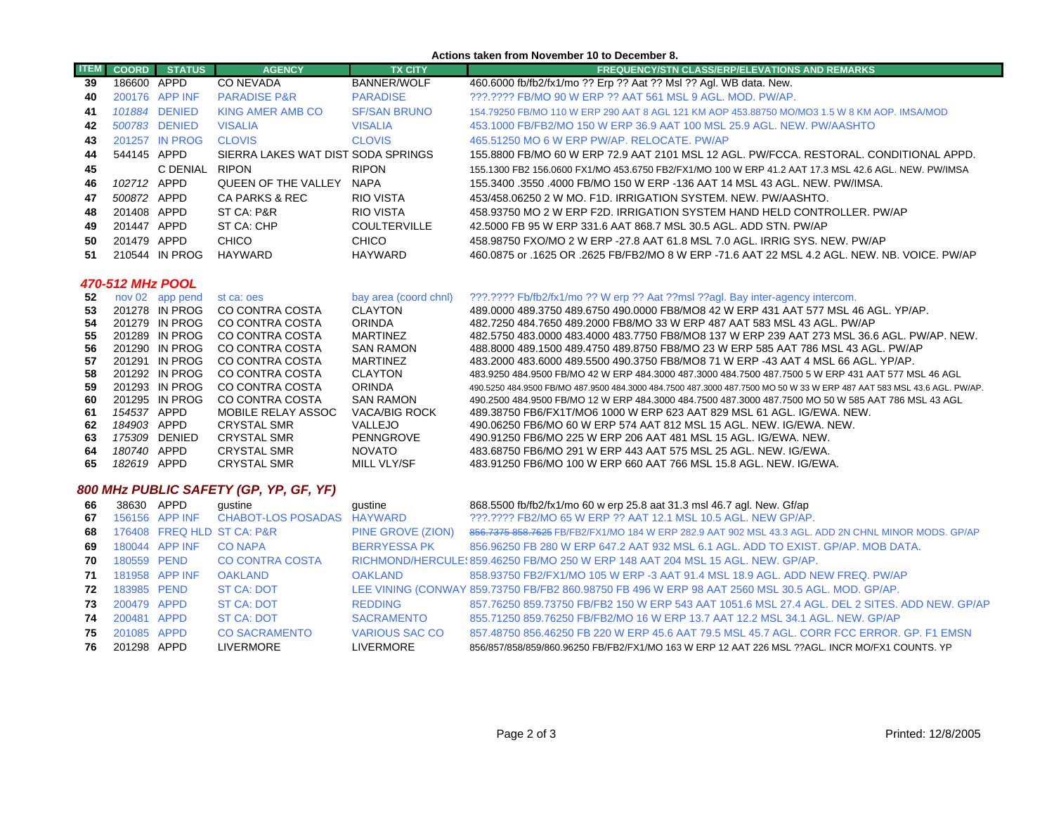#### **Actions taken from November 10 to December 8.**

| <b>ITEM</b> | <b>COORD</b> | <b>STATUS</b>  | <b>AGENCY</b>                      | <b>TX CITY</b>      | <b>FREQUENCY/STN CLASS/ERP/ELEVATIONS AND REMARKS</b>                                               |
|-------------|--------------|----------------|------------------------------------|---------------------|-----------------------------------------------------------------------------------------------------|
| 39          | 186600       | APPD           | CO NEVADA                          | <b>BANNER/WOLF</b>  | 460.6000 fb/fb2/fx1/mo ?? Erp ?? Aat ?? Msl ?? Agl. WB data. New.                                   |
| 40          |              | 200176 APP INF | <b>PARADISE P&amp;R</b>            | <b>PARADISE</b>     | ???.???? FB/MO 90 W ERP ?? AAT 561 MSL 9 AGL, MOD, PW/AP.                                           |
| 41          |              | 101884 DENIED  | KING AMER AMB CO                   | <b>SF/SAN BRUNO</b> | 154.79250 FB/MO 110 W ERP 290 AAT 8 AGL 121 KM AOP 453.88750 MO/MO3 1.5 W 8 KM AOP. IMSA/MOD        |
| 42          |              | 500783 DENIED  | <b>VISALIA</b>                     | <b>VISALIA</b>      | 453,1000 FB/FB2/MO 150 W ERP 36.9 AAT 100 MSL 25.9 AGL, NEW, PW/AASHTO                              |
| 43          |              | 201257 IN PROG | <b>CLOVIS</b>                      | <b>CLOVIS</b>       | 465,51250 MO 6 W ERP PW/AP, RELOCATE, PW/AP                                                         |
| 44          | 544145 APPD  |                | SIERRA LAKES WAT DIST SODA SPRINGS |                     | 155.8800 FB/MO 60 W ERP 72.9 AAT 2101 MSL 12 AGL. PW/FCCA. RESTORAL, CONDITIONAL APPD.              |
| 45          |              | C DENIAL       | <b>RIPON</b>                       | <b>RIPON</b>        | 155.1300 FB2 156.0600 FX1/MO 453.6750 FB2/FX1/MO 100 W ERP 41.2 AAT 17.3 MSL 42.6 AGL. NEW, PW/IMSA |
| 46          | 102712       | APPD           | QUEEN OF THE VALLEY                | <b>NAPA</b>         | 155,3400,3550,4000 FB/MO 150 W ERP -136 AAT 14 MSL 43 AGL, NEW, PW/IMSA,                            |
| 47          | 500872 APPD  |                | CA PARKS & REC                     | RIO VISTA           | 453/458.06250 2 W MO, F1D, IRRIGATION SYSTEM, NEW, PW/AASHTO,                                       |
| 48          | 201408 APPD  |                | ST CA: P&R                         | <b>RIO VISTA</b>    | 458,93750 MO 2 W ERP F2D. IRRIGATION SYSTEM HAND HELD CONTROLLER. PW/AP                             |
| 49          | 201447       | APPD           | ST CA: CHP                         | <b>COULTERVILLE</b> | 42,5000 FB 95 W ERP 331.6 AAT 868.7 MSL 30.5 AGL, ADD STN, PW/AP                                    |
| 50          | 201479 APPD  |                | CHICO                              | <b>CHICO</b>        | 458,98750 FXO/MO 2 W ERP -27.8 AAT 61.8 MSL 7.0 AGL. IRRIG SYS. NEW. PW/AP                          |
| -51         |              | 210544 IN PROG | HAYWARD                            | HAYWARD             | 460.0875 or .1625 OR .2625 FB/FB2/MO 8 W ERP -71.6 AAT 22 MSL 4.2 AGL. NEW. NB. VOICE. PW/AP        |

### *470-512 MHz POOL*

| 52  |             | nov 02 app pend | st ca: oes         | bay area (coord chnl) | ???.???? Fb/fb2/fx1/mo ?? W erp ?? Aat ??msl ??agl. Bay inter-agency intercom.                                         |
|-----|-------------|-----------------|--------------------|-----------------------|------------------------------------------------------------------------------------------------------------------------|
| 53  |             | 201278 IN PROG  | CO CONTRA COSTA    | CLAYTON               | 489,0000 489,3750 489,6750 490,0000 FB8/MO8 42 W ERP 431 AAT 577 MSL 46 AGL, YP/AP,                                    |
| 54  |             | 201279 IN PROG  | CO CONTRA COSTA    | <b>ORINDA</b>         | 482.7250 484.7650 489.2000 FB8/MO 33 W ERP 487 AAT 583 MSL 43 AGL. PW/AP                                               |
| 55. |             | 201289 IN PROG  | CO CONTRA COSTA    | <b>MARTINEZ</b>       | 482,5750 483,0000 483,4000 483,7750 FB8/MO8 137 W ERP 239 AAT 273 MSL 36.6 AGL, PW/AP, NEW.                            |
| 56  |             | 201290 IN PROG  | CO CONTRA COSTA    | <b>SAN RAMON</b>      | 488,8000 489,1500 489,4750 489,8750 FB8/MO 23 W ERP 585 AAT 786 MSL 43 AGL, PW/AP                                      |
| 57  |             | 201291 IN PROG  | CO CONTRA COSTA    | <b>MARTINEZ</b>       | 483,2000 483,6000 489,5500 490,3750 FB8/MO8 71 W ERP -43 AAT 4 MSL 66 AGL, YP/AP,                                      |
| 58  |             | 201292 IN PROG  | CO CONTRA COSTA    | CLAYTON               | 483.9250 484.9500 FB/MO 42 W ERP 484.3000 487.3000 484.7500 487.7500 5 W ERP 431 AAT 577 MSL 46 AGL                    |
| 59  |             | 201293 IN PROG  | CO CONTRA COSTA    | <b>ORINDA</b>         | .490,5250 484,9500 FB/MO 487,9500 484,3000 484,7500 487,3000 487,7500 MO 50 W 33 W ERP 487 AAT 583 MSL 43.6 AGL. PW/AP |
| 60  |             | 201295 IN PROG  | CO CONTRA COSTA    | <b>SAN RAMON</b>      | 490.2500 484.9500 FB/MO 12 W ERP 484.3000 484.7500 487.3000 487.7500 MO 50 W 585 AAT 786 MSL 43 AGL                    |
| 61  | 154537 APPD |                 | MOBILE RELAY ASSOC | VACA/BIG ROCK         | 489.38750 FB6/FX1T/MO6 1000 W ERP 623 AAT 829 MSL 61 AGL. IG/EWA, NEW.                                                 |
| 62  | 184903 APPD |                 | <b>CRYSTAL SMR</b> | VALLEJO               | 490.06250 FB6/MO 60 W ERP 574 AAT 812 MSL 15 AGL, NEW, IG/EWA, NEW.                                                    |
| 63  |             | 175309 DENIED   | CRYSTAL SMR        | <b>PENNGROVE</b>      | 490.91250 FB6/MO 225 W ERP 206 AAT 481 MSL 15 AGL. IG/EWA, NEW.                                                        |
| 64  | 180740 APPD |                 | <b>CRYSTAL SMR</b> | <b>NOVATO</b>         | 483.68750 FB6/MO 291 W ERP 443 AAT 575 MSL 25 AGL. NEW. IG/EWA.                                                        |
| 65  | 182619      | APPD            | <b>CRYSTAL SMR</b> | MILL VLY/SF           | 483,91250 FB6/MO 100 W ERP 660 AAT 766 MSL 15.8 AGL, NEW, IG/EWA.                                                      |

# *800 MHz PUBLIC SAFETY (GP, YP, GF, YF)*

| 66 | 38630 APPD  |                | qustine                    | qustine               | 868.5500 fb/fb2/fx1/mo 60 w erp 25.8 aat 31.3 msl 46.7 agl. New. Gf/ap                              |
|----|-------------|----------------|----------------------------|-----------------------|-----------------------------------------------------------------------------------------------------|
| 67 |             | 156156 APP INF | CHABOT-LOS POSADAS HAYWARD |                       | ???.???? FB2/MO 65 W ERP ?? AAT 12.1 MSL 10.5 AGL, NEW GP/AP.                                       |
| 68 |             |                | 176408 FREQ HLD ST CA: P&R | PINE GROVE (ZION)     | 856.7375 858.7625 FB/FB2/FX1/MO 184 W ERP 282.9 AAT 902 MSL 43.3 AGL. ADD 2N CHNL MINOR MODS. GP/AP |
| 69 |             | 180044 APP INF | <b>CO NAPA</b>             | <b>BERRYESSA PK</b>   | 856,96250 FB 280 W ERP 647.2 AAT 932 MSL 6.1 AGL, ADD TO EXIST, GP/AP, MOB DATA,                    |
| 70 | 180559 PFND |                | <b>CO CONTRA COSTA</b>     |                       | RICHMOND/HERCULE: 859.46250 FB/MO 250 W ERP 148 AAT 204 MSL 15 AGL. NEW. GP/AP.                     |
| 71 |             | 181958 APP INF | <b>OAKLAND</b>             | <b>OAKLAND</b>        | 858,93750 FB2/FX1/MO 105 W ERP -3 AAT 91.4 MSL 18.9 AGL, ADD NEW FREQ, PW/AP                        |
| 72 | 183985 PEND |                | <b>ST CA: DOT</b>          |                       | LEE VINING (CONWAY 859.73750 FB/FB2 860.98750 FB 496 W ERP 98 AAT 2560 MSL 30.5 AGL. MOD. GP/AP.    |
| 73 | 200479 APPD |                | <b>ST CA: DOT</b>          | <b>REDDING</b>        | 857,76250 859,73750 FB/FB2 150 W ERP 543 AAT 1051.6 MSL 27.4 AGL, DEL 2 SITES, ADD NEW, GP/AP       |
| 74 | 200481 APPD |                | ST CA: DOT                 | <b>SACRAMENTO</b>     | 855.71250 859.76250 FB/FB2/MO 16 W ERP 13.7 AAT 12.2 MSL 34.1 AGL, NEW, GP/AP                       |
| 75 | 201085 APPD |                | <b>CO SACRAMENTO</b>       | <b>VARIOUS SAC CO</b> | 857.48750 856.46250 FB 220 W ERP 45.6 AAT 79.5 MSL 45.7 AGL, CORR FCC ERROR, GP, F1 EMSN            |
| 76 | 201298 APPD |                | <b>LIVERMORE</b>           | <b>LIVERMORE</b>      | 856/857/858/859/860.96250 FB/FB2/FX1/MO 163 W ERP 12 AAT 226 MSL ??AGL. INCR MO/FX1 COUNTS. YP      |